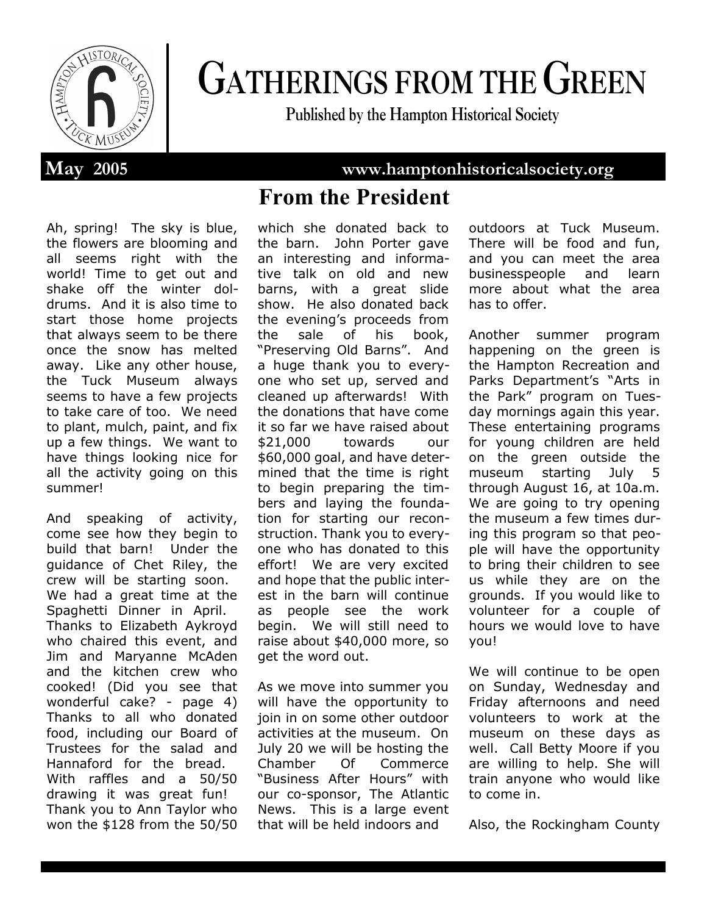

# **GATHERINGS FROM THE GREEN**

**Published by the Hampton Historical Society**

**May 2005 www.hamptonhistoricalsociety.org**

# **From the President**

Ah, spring! The sky is blue, the flowers are blooming and all seems right with the world! Time to get out and shake off the winter doldrums. And it is also time to start those home projects that always seem to be there once the snow has melted away. Like any other house, the Tuck Museum always seems to have a few projects to take care of too. We need to plant, mulch, paint, and fix up a few things. We want to have things looking nice for all the activity going on this summer!

And speaking of activity, come see how they begin to build that barn! Under the guidance of Chet Riley, the crew will be starting soon. We had a great time at the Spaghetti Dinner in April. Thanks to Elizabeth Aykroyd who chaired this event, and Jim and Maryanne McAden and the kitchen crew who cooked! (Did you see that wonderful cake? - page 4) Thanks to all who donated food, including our Board of Trustees for the salad and Hannaford for the bread. With raffles and a 50/50 drawing it was great fun! Thank you to Ann Taylor who won the \$128 from the 50/50 which she donated back to the barn. John Porter gave an interesting and informative talk on old and new barns, with a great slide show. He also donated back the evening's proceeds from the sale of his book, "Preserving Old Barns". And a huge thank you to everyone who set up, served and cleaned up afterwards! With the donations that have come it so far we have raised about \$21,000 towards our \$60,000 goal, and have determined that the time is right to begin preparing the timbers and laying the foundation for starting our reconstruction. Thank you to everyone who has donated to this effort! We are very excited and hope that the public interest in the barn will continue as people see the work begin. We will still need to raise about \$40,000 more, so get the word out.

As we move into summer you will have the opportunity to join in on some other outdoor activities at the museum. On July 20 we will be hosting the Chamber Of Commerce "Business After Hours" with our co-sponsor, The Atlantic News. This is a large event that will be held indoors and

outdoors at Tuck Museum. There will be food and fun, and you can meet the area businesspeople and learn more about what the area has to offer.

Another summer program happening on the green is the Hampton Recreation and Parks Department's "Arts in the Park" program on Tuesday mornings again this year. These entertaining programs for young children are held on the green outside the museum starting July 5 through August 16, at 10a.m. We are going to try opening the museum a few times during this program so that people will have the opportunity to bring their children to see us while they are on the grounds. If you would like to volunteer for a couple of hours we would love to have you!

We will continue to be open on Sunday, Wednesday and Friday afternoons and need volunteers to work at the museum on these days as well. Call Betty Moore if you are willing to help. She will train anyone who would like to come in.

Also, the Rockingham County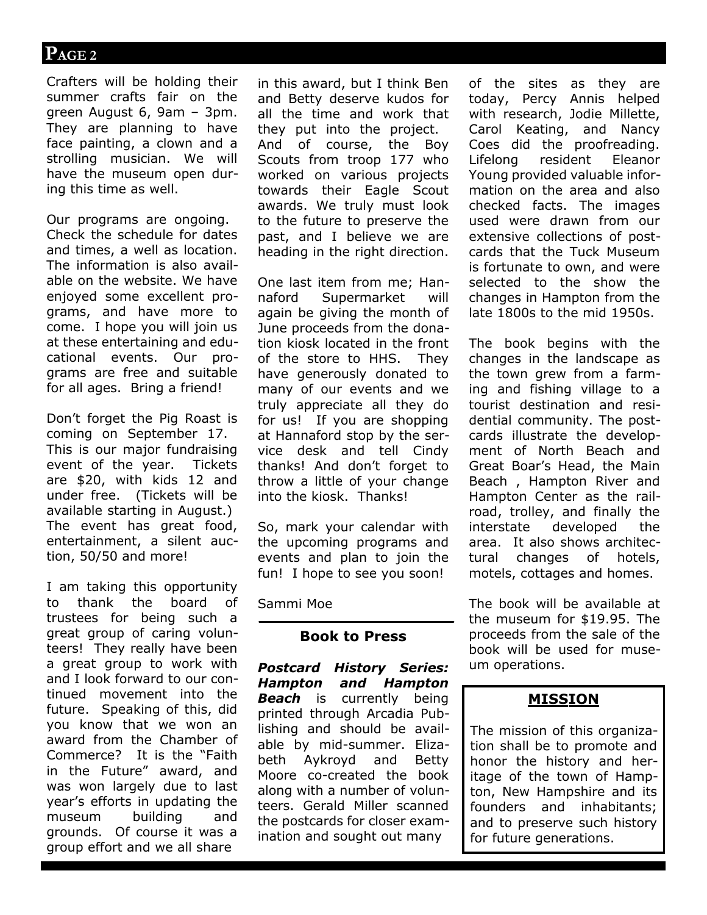# **PAGE 2**

Crafters will be holding their summer crafts fair on the green August 6, 9am – 3pm. They are planning to have face painting, a clown and a strolling musician. We will have the museum open during this time as well.

Our programs are ongoing. Check the schedule for dates and times, a well as location. The information is also available on the website. We have enjoyed some excellent programs, and have more to come. I hope you will join us at these entertaining and educational events. Our programs are free and suitable for all ages. Bring a friend!

Don't forget the Pig Roast is coming on September 17. This is our major fundraising event of the year. Tickets are \$20, with kids 12 and under free. (Tickets will be available starting in August.) The event has great food, entertainment, a silent auction, 50/50 and more!

I am taking this opportunity to thank the board of trustees for being such a great group of caring volunteers! They really have been a great group to work with and I look forward to our continued movement into the future. Speaking of this, did you know that we won an award from the Chamber of Commerce? It is the "Faith in the Future" award, and was won largely due to last year's efforts in updating the museum building and grounds. Of course it was a group effort and we all share

in this award, but I think Ben and Betty deserve kudos for all the time and work that they put into the project. And of course, the Boy Scouts from troop 177 who worked on various projects towards their Eagle Scout awards. We truly must look to the future to preserve the past, and I believe we are heading in the right direction.

One last item from me; Hannaford Supermarket will again be giving the month of June proceeds from the donation kiosk located in the front of the store to HHS. They have generously donated to many of our events and we truly appreciate all they do for us! If you are shopping at Hannaford stop by the service desk and tell Cindy thanks! And don't forget to throw a little of your change into the kiosk. Thanks!

So, mark your calendar with the upcoming programs and events and plan to join the fun! I hope to see you soon!

Sammi Moe

#### **Book to Press**

*Postcard History Series: Hampton and Hampton*  **Beach** is currently being printed through Arcadia Publishing and should be available by mid-summer. Elizabeth Aykroyd and Betty Moore co-created the book along with a number of volunteers. Gerald Miller scanned the postcards for closer examination and sought out many

of the sites as they are today, Percy Annis helped with research, Jodie Millette, Carol Keating, and Nancy Coes did the proofreading. Lifelong resident Eleanor Young provided valuable information on the area and also checked facts. The images used were drawn from our extensive collections of postcards that the Tuck Museum is fortunate to own, and were selected to the show the changes in Hampton from the late 1800s to the mid 1950s.

The book begins with the changes in the landscape as the town grew from a farming and fishing village to a tourist destination and residential community. The postcards illustrate the development of North Beach and Great Boar's Head, the Main Beach , Hampton River and Hampton Center as the railroad, trolley, and finally the interstate developed the area. It also shows architectural changes of hotels, motels, cottages and homes.

The book will be available at the museum for \$19.95. The proceeds from the sale of the book will be used for museum operations.

### **MISSION**

The mission of this organization shall be to promote and honor the history and heritage of the town of Hampton, New Hampshire and its founders and inhabitants; and to preserve such history for future generations.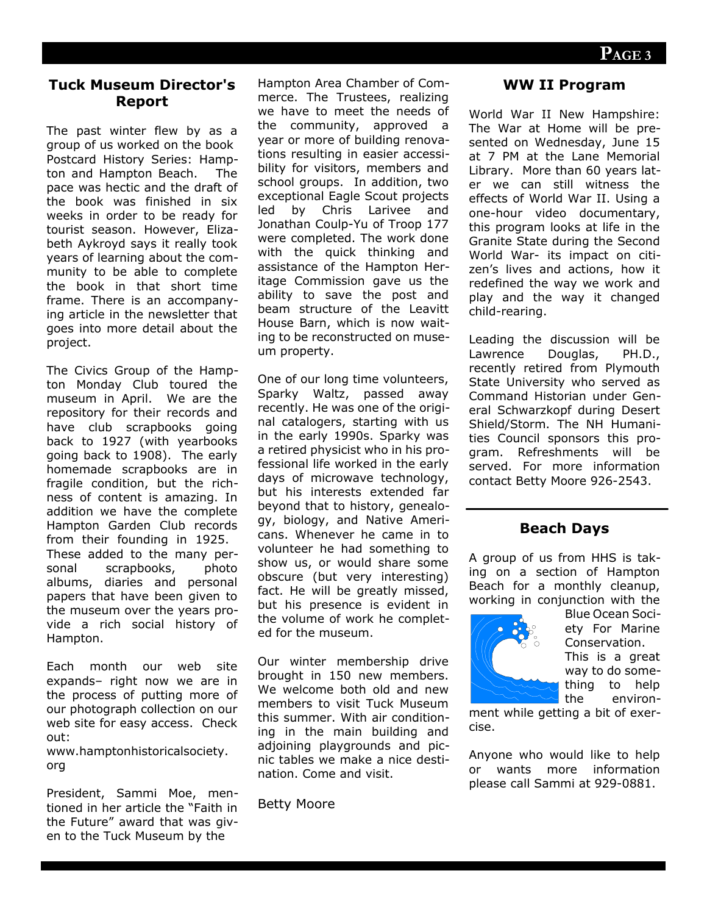#### **Tuck Museum Director's Report**

The past winter flew by as a group of us worked on the book Postcard History Series: Hampton and Hampton Beach. The pace was hectic and the draft of the book was finished in six weeks in order to be ready for tourist season. However, Elizabeth Aykroyd says it really took years of learning about the community to be able to complete the book in that short time frame. There is an accompanying article in the newsletter that goes into more detail about the project.

The Civics Group of the Hampton Monday Club toured the museum in April. We are the repository for their records and have club scrapbooks going back to 1927 (with yearbooks going back to 1908). The early homemade scrapbooks are in fragile condition, but the richness of content is amazing. In addition we have the complete Hampton Garden Club records from their founding in 1925. These added to the many personal scrapbooks, photo albums, diaries and personal papers that have been given to the museum over the years provide a rich social history of Hampton.

Each month our web site expands– right now we are in the process of putting more of our photograph collection on our web site for easy access. Check out:

www.hamptonhistoricalsociety. org

President, Sammi Moe, mentioned in her article the "Faith in the Future" award that was given to the Tuck Museum by the

Hampton Area Chamber of Commerce. The Trustees, realizing we have to meet the needs of the community, approved a year or more of building renovations resulting in easier accessibility for visitors, members and school groups. In addition, two exceptional Eagle Scout projects led by Chris Larivee and Jonathan Coulp-Yu of Troop 177 were completed. The work done with the quick thinking and assistance of the Hampton Heritage Commission gave us the ability to save the post and beam structure of the Leavitt House Barn, which is now waiting to be reconstructed on museum property.

One of our long time volunteers, Sparky Waltz, passed away recently. He was one of the original catalogers, starting with us in the early 1990s. Sparky was a retired physicist who in his professional life worked in the early days of microwave technology, but his interests extended far beyond that to history, genealogy, biology, and Native Americans. Whenever he came in to volunteer he had something to show us, or would share some obscure (but very interesting) fact. He will be greatly missed, but his presence is evident in the volume of work he completed for the museum.

Our winter membership drive brought in 150 new members. We welcome both old and new members to visit Tuck Museum this summer. With air conditioning in the main building and adjoining playgrounds and picnic tables we make a nice destination. Come and visit.

Betty Moore

#### **WW II Program**

World War II New Hampshire: The War at Home will be presented on Wednesday, June 15 at 7 PM at the Lane Memorial Library. More than 60 years later we can still witness the effects of World War II. Using a one-hour video documentary, this program looks at life in the Granite State during the Second World War- its impact on citizen's lives and actions, how it redefined the way we work and play and the way it changed child-rearing.

Leading the discussion will be Lawrence Douglas, PH.D., recently retired from Plymouth State University who served as Command Historian under General Schwarzkopf during Desert Shield/Storm. The NH Humanities Council sponsors this program. Refreshments will be served. For more information contact Betty Moore 926-2543.

#### **Beach Days**

A group of us from HHS is taking on a section of Hampton Beach for a monthly cleanup, working in conjunction with the



Blue Ocean Society For Marine Conservation.

This is a great way to do something to help the environ-

ment while getting a bit of exercise.

Anyone who would like to help or wants more information please call Sammi at 929-0881.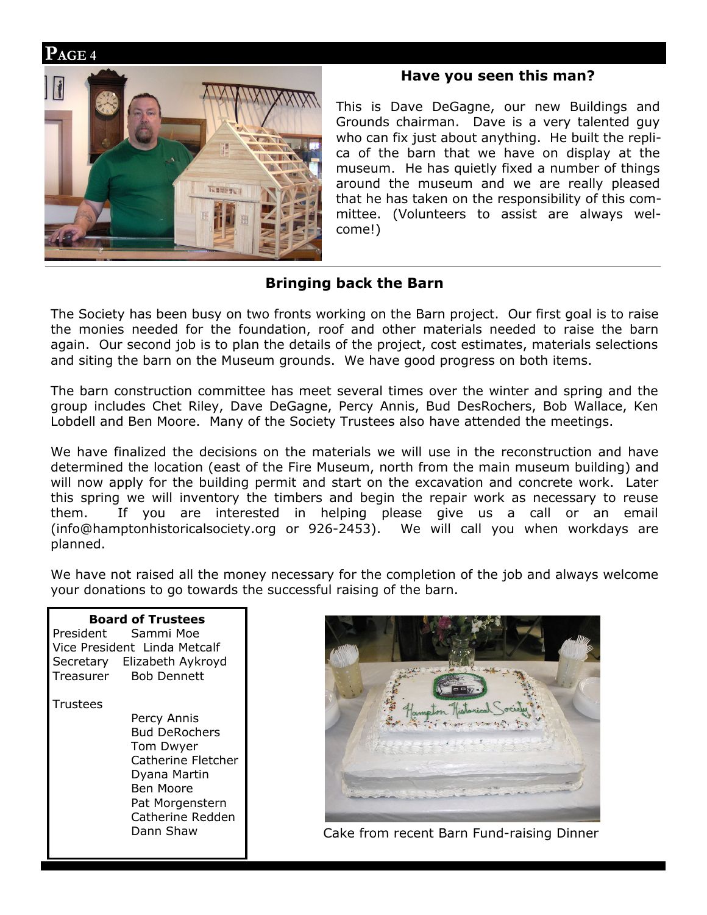## **PAGE 4**



#### **Have you seen this man?**

This is Dave DeGagne, our new Buildings and Grounds chairman. Dave is a very talented guy who can fix just about anything. He built the replica of the barn that we have on display at the museum. He has quietly fixed a number of things around the museum and we are really pleased that he has taken on the responsibility of this committee. (Volunteers to assist are always welcome!)

# **Bringing back the Barn**

The Society has been busy on two fronts working on the Barn project. Our first goal is to raise the monies needed for the foundation, roof and other materials needed to raise the barn again. Our second job is to plan the details of the project, cost estimates, materials selections and siting the barn on the Museum grounds. We have good progress on both items.

The barn construction committee has meet several times over the winter and spring and the group includes Chet Riley, Dave DeGagne, Percy Annis, Bud DesRochers, Bob Wallace, Ken Lobdell and Ben Moore. Many of the Society Trustees also have attended the meetings.

We have finalized the decisions on the materials we will use in the reconstruction and have determined the location (east of the Fire Museum, north from the main museum building) and will now apply for the building permit and start on the excavation and concrete work. Later this spring we will inventory the timbers and begin the repair work as necessary to reuse them. If you are interested in helping please give us a call or an email (info@hamptonhistoricalsociety.org or 926-2453). We will call you when workdays are planned.

We have not raised all the money necessary for the completion of the job and always welcome your donations to go towards the successful raising of the barn.

**Board of Trustees** President Sammi Moe Vice President Linda Metcalf Secretary Elizabeth Aykroyd Treasurer Bob Dennett **Trustees** Percy Annis Bud DeRochers Tom Dwyer Catherine Fletcher Dyana Martin Ben Moore Pat Morgenstern Catherine Redden Dann Shaw



Cake from recent Barn Fund-raising Dinner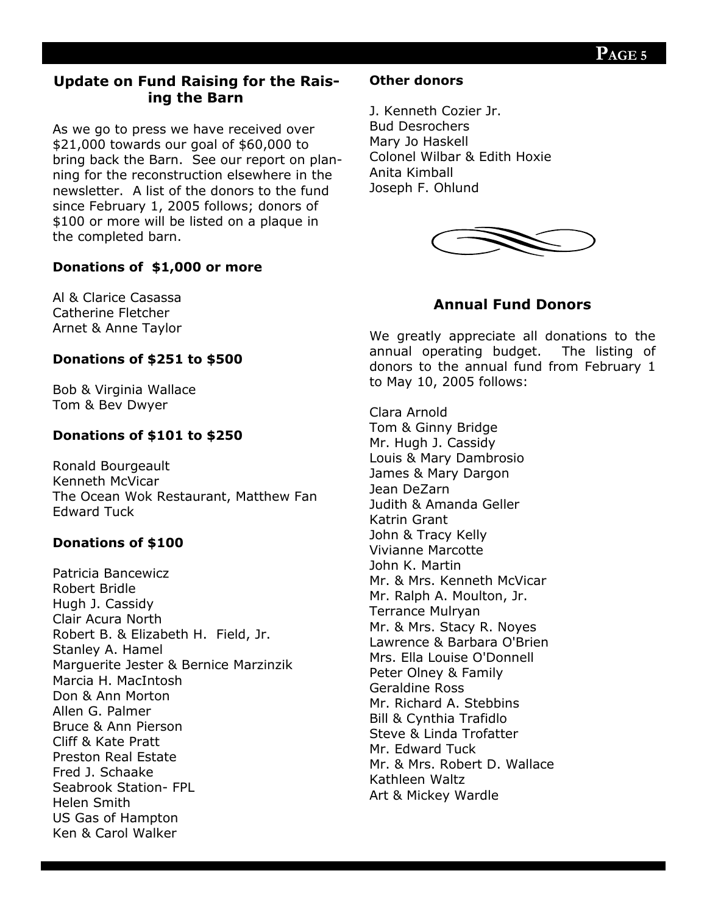# **Update on Fund Raising for the Raising the Barn**

As we go to press we have received over \$21,000 towards our goal of \$60,000 to bring back the Barn. See our report on planning for the reconstruction elsewhere in the newsletter. A list of the donors to the fund since February 1, 2005 follows; donors of \$100 or more will be listed on a plaque in the completed barn.

#### **Donations of \$1,000 or more**

Al & Clarice Casassa Catherine Fletcher Arnet & Anne Taylor

#### **Donations of \$251 to \$500**

Bob & Virginia Wallace Tom & Bev Dwyer

### **Donations of \$101 to \$250**

Ronald Bourgeault Kenneth McVicar The Ocean Wok Restaurant, Matthew Fan Edward Tuck

### **Donations of \$100**

Patricia Bancewicz Robert Bridle Hugh J. Cassidy Clair Acura North Robert B. & Elizabeth H. Field, Jr. Stanley A. Hamel Marguerite Jester & Bernice Marzinzik Marcia H. MacIntosh Don & Ann Morton Allen G. Palmer Bruce & Ann Pierson Cliff & Kate Pratt Preston Real Estate Fred J. Schaake Seabrook Station- FPL Helen Smith US Gas of Hampton Ken & Carol Walker

#### **Other donors**

J. Kenneth Cozier Jr. Bud Desrochers Mary Jo Haskell Colonel Wilbar & Edith Hoxie Anita Kimball Joseph F. Ohlund



# **Annual Fund Donors**

We greatly appreciate all donations to the annual operating budget. The listing of donors to the annual fund from February 1 to May 10, 2005 follows:

Clara Arnold Tom & Ginny Bridge Mr. Hugh J. Cassidy Louis & Mary Dambrosio James & Mary Dargon Jean DeZarn Judith & Amanda Geller Katrin Grant John & Tracy Kelly Vivianne Marcotte John K. Martin Mr. & Mrs. Kenneth McVicar Mr. Ralph A. Moulton, Jr. Terrance Mulryan Mr. & Mrs. Stacy R. Noyes Lawrence & Barbara O'Brien Mrs. Ella Louise O'Donnell Peter Olney & Family Geraldine Ross Mr. Richard A. Stebbins Bill & Cynthia Trafidlo Steve & Linda Trofatter Mr. Edward Tuck Mr. & Mrs. Robert D. Wallace Kathleen Waltz Art & Mickey Wardle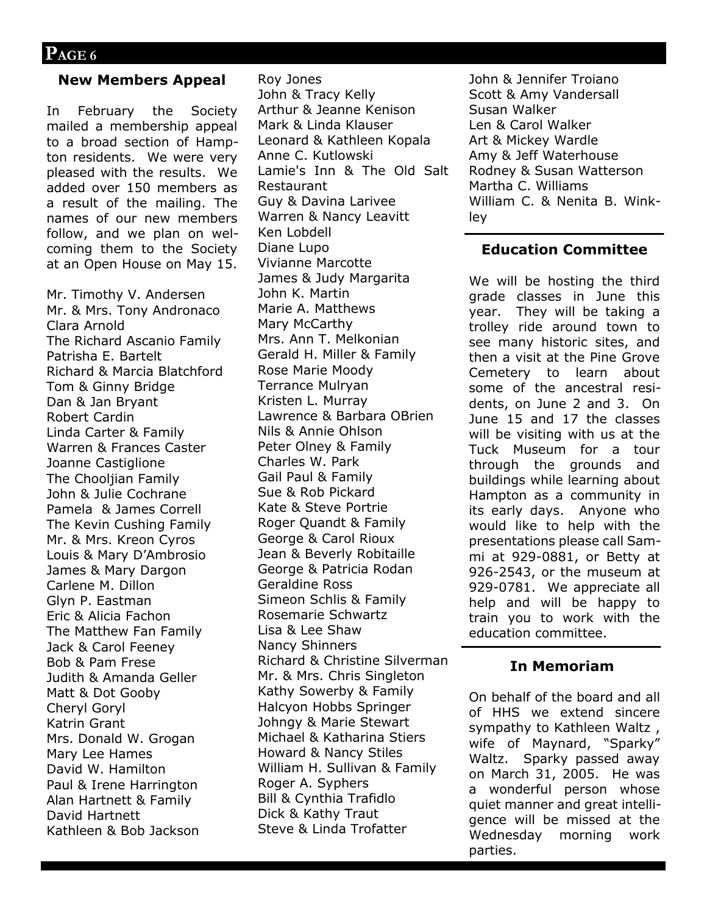#### **New Members Appeal**

In February the Society mailed a membership appeal to a broad section of Hampton residents. We were very pleased with the results. We added over 150 members as a result of the mailing. The names of our new members follow, and we plan on welcoming them to the Society at an Open House on May 15.

Mr. Timothy V. Andersen Mr. & Mrs. Tony Andronaco Clara Arnold The Richard Ascanio Family Patrisha E. Bartelt Richard & Marcia Blatchford Tom & Ginny Bridge Dan & Jan Bryant Robert Cardin Linda Carter & Family Warren & Frances Caster Joanne Castiglione The Chooliian Family John & Julie Cochrane Pamela & James Correll The Kevin Cushing Family Mr. & Mrs. Kreon Cyros Louis & Mary D'Ambrosio James & Mary Dargon Carlene M. Dillon Glyn P. Eastman Eric & Alicia Fachon The Matthew Fan Family Jack & Carol Feeney Bob & Pam Frese Judith & Amanda Geller Matt & Dot Gooby Cheryl Goryl Katrin Grant Mrs. Donald W. Grogan Mary Lee Hames David W. Hamilton Paul & Irene Harrington Alan Hartnett & Family David Hartnett Kathleen & Bob Jackson

Roy Jones John & Tracy Kelly Arthur & Jeanne Kenison Mark & Linda Klauser Leonard & Kathleen Kopala Anne C. Kutlowski Lamie's Inn & The Old Salt Restaurant Guy & Davina Larivee Warren & Nancy Leavitt Ken Lobdell Diane Lupo Vivianne Marcotte James & Judy Margarita John K. Martin Marie A. Matthews Mary McCarthy Mrs. Ann T. Melkonian Gerald H. Miller & Family Rose Marie Moody Terrance Mulryan Kristen L. Murray Lawrence & Barbara OBrien Nils & Annie Ohlson Peter Olney & Family Charles W. Park Gail Paul & Family Sue & Rob Pickard Kate & Steve Portrie Roger Quandt & Family George & Carol Rioux Jean & Beverly Robitaille George & Patricia Rodan Geraldine Ross Simeon Schlis & Family Rosemarie Schwartz Lisa & Lee Shaw Nancy Shinners Richard & Christine Silverman Mr. & Mrs. Chris Singleton Kathy Sowerby & Family Halcyon Hobbs Springer Johngy & Marie Stewart Michael & Katharina Stiers Howard & Nancy Stiles William H. Sullivan & Family Roger A. Syphers Bill & Cynthia Trafidlo Dick & Kathy Traut Steve & Linda Trofatter

John & Jennifer Troiano Scott & Amy Vandersall Susan Walker Len & Carol Walker Art & Mickey Wardle Amy & Jeff Waterhouse Rodney & Susan Watterson Martha C. Williams William C. & Nenita B. Winkley

#### **Education Committee**

We will be hosting the third grade classes in June this year. They will be taking a trolley ride around town to see many historic sites, and then a visit at the Pine Grove Cemetery to learn about some of the ancestral residents, on June 2 and 3. On June 15 and 17 the classes will be visiting with us at the Tuck Museum for a tour through the grounds and buildings while learning about Hampton as a community in its early days. Anyone who would like to help with the presentations please call Sammi at 929-0881, or Betty at 926-2543, or the museum at 929-0781. We appreciate all help and will be happy to train you to work with the education committee.

#### **In Memoriam**

On behalf of the board and all of HHS we extend sincere sympathy to Kathleen Waltz , wife of Maynard, "Sparky" Waltz. Sparky passed away on March 31, 2005. He was a wonderful person whose quiet manner and great intelligence will be missed at the Wednesday morning work parties.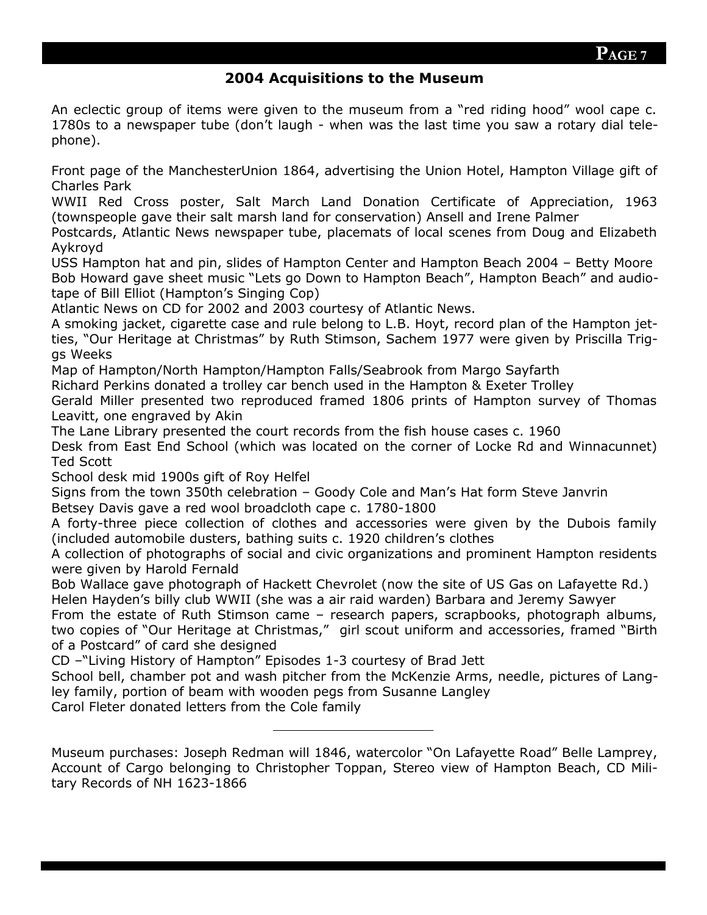## **2004 Acquisitions to the Museum**

An eclectic group of items were given to the museum from a "red riding hood" wool cape c. 1780s to a newspaper tube (don't laugh - when was the last time you saw a rotary dial telephone).

Front page of the ManchesterUnion 1864, advertising the Union Hotel, Hampton Village gift of Charles Park

WWII Red Cross poster, Salt March Land Donation Certificate of Appreciation, 1963 (townspeople gave their salt marsh land for conservation) Ansell and Irene Palmer

Postcards, Atlantic News newspaper tube, placemats of local scenes from Doug and Elizabeth Aykroyd

USS Hampton hat and pin, slides of Hampton Center and Hampton Beach 2004 – Betty Moore Bob Howard gave sheet music "Lets go Down to Hampton Beach", Hampton Beach" and audiotape of Bill Elliot (Hampton's Singing Cop)

Atlantic News on CD for 2002 and 2003 courtesy of Atlantic News.

A smoking jacket, cigarette case and rule belong to L.B. Hoyt, record plan of the Hampton jetties, "Our Heritage at Christmas" by Ruth Stimson, Sachem 1977 were given by Priscilla Triggs Weeks

Map of Hampton/North Hampton/Hampton Falls/Seabrook from Margo Sayfarth

Richard Perkins donated a trolley car bench used in the Hampton & Exeter Trolley

Gerald Miller presented two reproduced framed 1806 prints of Hampton survey of Thomas Leavitt, one engraved by Akin

The Lane Library presented the court records from the fish house cases c. 1960

Desk from East End School (which was located on the corner of Locke Rd and Winnacunnet) Ted Scott

School desk mid 1900s gift of Roy Helfel

Signs from the town 350th celebration – Goody Cole and Man's Hat form Steve Janvrin Betsey Davis gave a red wool broadcloth cape c. 1780-1800

A forty-three piece collection of clothes and accessories were given by the Dubois family (included automobile dusters, bathing suits c. 1920 children's clothes

A collection of photographs of social and civic organizations and prominent Hampton residents were given by Harold Fernald

Bob Wallace gave photograph of Hackett Chevrolet (now the site of US Gas on Lafayette Rd.) Helen Hayden's billy club WWII (she was a air raid warden) Barbara and Jeremy Sawyer

From the estate of Ruth Stimson came – research papers, scrapbooks, photograph albums, two copies of "Our Heritage at Christmas," girl scout uniform and accessories, framed "Birth of a Postcard" of card she designed

CD –"Living History of Hampton" Episodes 1-3 courtesy of Brad Jett

School bell, chamber pot and wash pitcher from the McKenzie Arms, needle, pictures of Langley family, portion of beam with wooden pegs from Susanne Langley

Carol Fleter donated letters from the Cole family

Museum purchases: Joseph Redman will 1846, watercolor "On Lafayette Road" Belle Lamprey, Account of Cargo belonging to Christopher Toppan, Stereo view of Hampton Beach, CD Military Records of NH 1623-1866